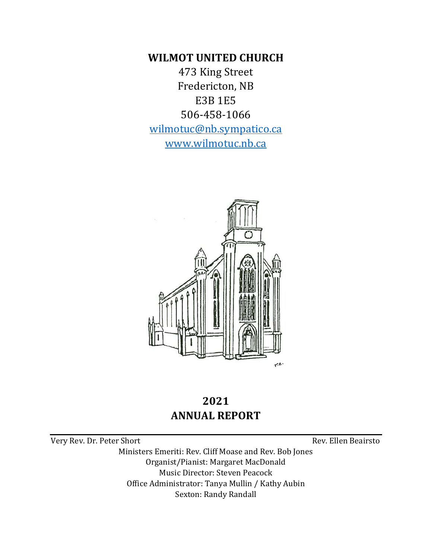### **WILMOT UNITED CHURCH**

473 King Street Fredericton, NB E3B 1E5 506-458-1066 [wilmotuc@nb.sympatico.ca](mailto:wilmotuc@nb.sympatico.ca) [www.wilmotuc.nb.ca](http://www.wilmotuc.nb.ca/)



# **2021 ANNUAL REPORT**

Very Rev. Dr. Peter Short Rev. Ellen Beairsto

Ministers Emeriti: Rev. Cliff Moase and Rev. Bob Jones Organist/Pianist: Margaret MacDonald Music Director: Steven Peacock Office Administrator: Tanya Mullin / Kathy Aubin Sexton: Randy Randall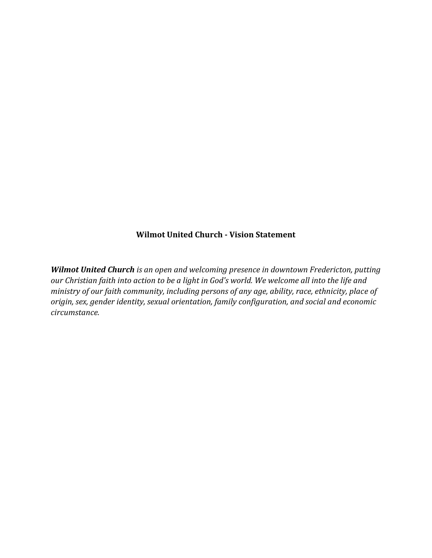#### **Wilmot United Church - Vision Statement**

*Wilmot United Church is an open and welcoming presence in downtown Fredericton, putting our Christian faith into action to be a light in God's world. We welcome all into the life and ministry of our faith community, including persons of any age, ability, race, ethnicity, place of origin, sex, gender identity, sexual orientation, family configuration, and social and economic circumstance.*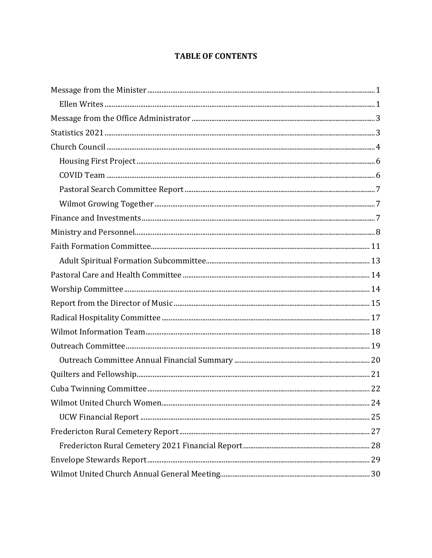## **TABLE OF CONTENTS**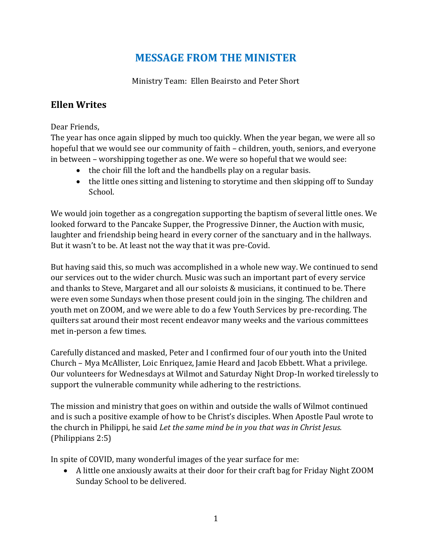# **MESSAGE FROM THE MINISTER**

Ministry Team: Ellen Beairsto and Peter Short

## <span id="page-3-1"></span><span id="page-3-0"></span>**Ellen Writes**

### Dear Friends,

The year has once again slipped by much too quickly. When the year began, we were all so hopeful that we would see our community of faith – children, youth, seniors, and everyone in between – worshipping together as one. We were so hopeful that we would see:

- the choir fill the loft and the handbells play on a regular basis.
- the little ones sitting and listening to storytime and then skipping off to Sunday School.

We would join together as a congregation supporting the baptism of several little ones. We looked forward to the Pancake Supper, the Progressive Dinner, the Auction with music, laughter and friendship being heard in every corner of the sanctuary and in the hallways. But it wasn't to be. At least not the way that it was pre-Covid.

But having said this, so much was accomplished in a whole new way. We continued to send our services out to the wider church. Music was such an important part of every service and thanks to Steve, Margaret and all our soloists & musicians, it continued to be. There were even some Sundays when those present could join in the singing. The children and youth met on ZOOM, and we were able to do a few Youth Services by pre-recording. The quilters sat around their most recent endeavor many weeks and the various committees met in-person a few times.

Carefully distanced and masked, Peter and I confirmed four of our youth into the United Church – Mya McAllister, Loic Enriquez, Jamie Heard and Jacob Ebbett. What a privilege. Our volunteers for Wednesdays at Wilmot and Saturday Night Drop-In worked tirelessly to support the vulnerable community while adhering to the restrictions.

The mission and ministry that goes on within and outside the walls of Wilmot continued and is such a positive example of how to be Christ's disciples. When Apostle Paul wrote to the church in Philippi, he said *Let the same mind be in you that was in Christ Jesus.*  (Philippians 2:5)

In spite of COVID, many wonderful images of the year surface for me:

• A little one anxiously awaits at their door for their craft bag for Friday Night ZOOM Sunday School to be delivered.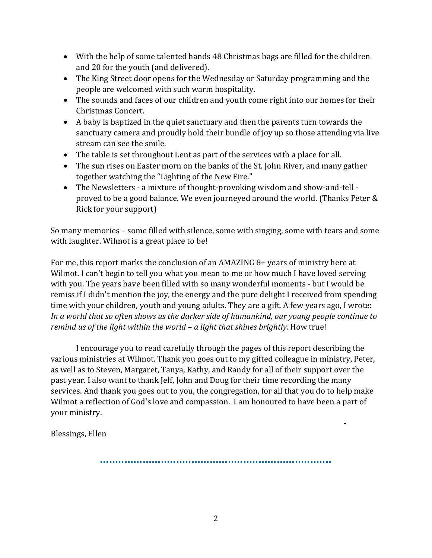- With the help of some talented hands 48 Christmas bags are filled for the children and 20 for the youth (and delivered).
- The King Street door opens for the Wednesday or Saturday programming and the people are welcomed with such warm hospitality.
- The sounds and faces of our children and youth come right into our homes for their Christmas Concert.
- A baby is baptized in the quiet sanctuary and then the parents turn towards the sanctuary camera and proudly hold their bundle of joy up so those attending via live stream can see the smile.
- The table is set throughout Lent as part of the services with a place for all.
- The sun rises on Easter morn on the banks of the St. John River, and many gather together watching the "Lighting of the New Fire."
- The Newsletters a mixture of thought-provoking wisdom and show-and-tell proved to be a good balance. We even journeyed around the world. (Thanks Peter & Rick for your support)

So many memories – some filled with silence, some with singing, some with tears and some with laughter. Wilmot is a great place to be!

For me, this report marks the conclusion of an AMAZING 8+ years of ministry here at Wilmot. I can't begin to tell you what you mean to me or how much I have loved serving with you. The years have been filled with so many wonderful moments - but I would be remiss if I didn't mention the joy, the energy and the pure delight I received from spending time with your children, youth and young adults. They are a gift. A few years ago, I wrote: *In a world that so often shows us the darker side of humankind, our young people continue to remind us of the light within the world – a light that shines brightly.* How true!

I encourage you to read carefully through the pages of this report describing the various ministries at Wilmot. Thank you goes out to my gifted colleague in ministry, Peter, as well as to Steven, Margaret, Tanya, Kathy, and Randy for all of their support over the past year. I also want to thank Jeff, John and Doug for their time recording the many services. And thank you goes out to you, the congregation, for all that you do to help make Wilmot a reflection of God's love and compassion. I am honoured to have been a part of your ministry.

Blessings, Ellen

- 1990 - 1990 -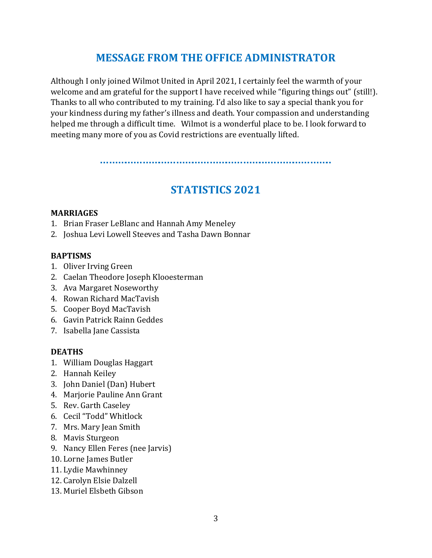# **MESSAGE FROM THE OFFICE ADMINISTRATOR**

<span id="page-5-0"></span>Although I only joined Wilmot United in April 2021, I certainly feel the warmth of your welcome and am grateful for the support I have received while "figuring things out" (still!). Thanks to all who contributed to my training. I'd also like to say a special thank you for your kindness during my father's illness and death. Your compassion and understanding helped me through a difficult time. Wilmot is a wonderful place to be. I look forward to meeting many more of you as Covid restrictions are eventually lifted.

# **STATISTICS 2021**

### <span id="page-5-1"></span>**MARRIAGES**

- 1. Brian Fraser LeBlanc and Hannah Amy Meneley
- 2. Joshua Levi Lowell Steeves and Tasha Dawn Bonnar

### **BAPTISMS**

- 1. Oliver Irving Green
- 2. Caelan Theodore Joseph Klooesterman
- 3. Ava Margaret Noseworthy
- 4. Rowan Richard MacTavish
- 5. Cooper Boyd MacTavish
- 6. Gavin Patrick Rainn Geddes
- 7. Isabella Jane Cassista

#### **DEATHS**

- 1. William Douglas Haggart
- 2. Hannah Keiley
- 3. John Daniel (Dan) Hubert
- 4. Marjorie Pauline Ann Grant
- 5. Rev. Garth Caseley
- 6. Cecil "Todd" Whitlock
- 7. Mrs. Mary Jean Smith
- 8. Mavis Sturgeon
- 9. Nancy Ellen Feres (nee Jarvis)
- 10. Lorne James Butler
- 11. Lydie Mawhinney
- 12. Carolyn Elsie Dalzell
- 13. Muriel Elsbeth Gibson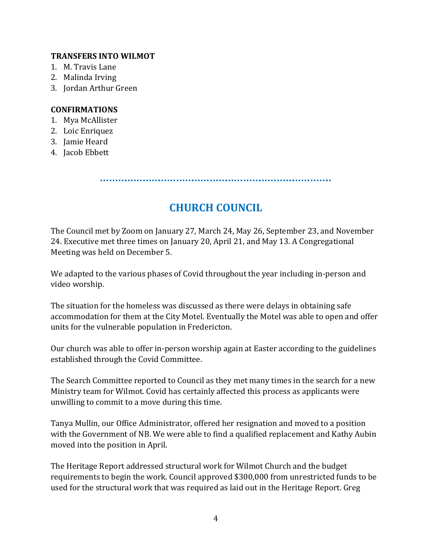#### **TRANSFERS INTO WILMOT**

- 1. M. Travis Lane
- 2. Malinda Irving
- 3. Jordan Arthur Green

### **CONFIRMATIONS**

- 1. Mya McAllister
- 2. Loic Enriquez
- 3. Jamie Heard
- 4. Jacob Ebbett

# **CHURCH COUNCIL**

<span id="page-6-0"></span>The Council met by Zoom on January 27, March 24, May 26, September 23, and November 24. Executive met three times on January 20, April 21, and May 13. A Congregational Meeting was held on December 5.

We adapted to the various phases of Covid throughout the year including in-person and video worship.

The situation for the homeless was discussed as there were delays in obtaining safe accommodation for them at the City Motel. Eventually the Motel was able to open and offer units for the vulnerable population in Fredericton.

Our church was able to offer in-person worship again at Easter according to the guidelines established through the Covid Committee.

The Search Committee reported to Council as they met many times in the search for a new Ministry team for Wilmot. Covid has certainly affected this process as applicants were unwilling to commit to a move during this time.

Tanya Mullin, our Office Administrator, offered her resignation and moved to a position with the Government of NB. We were able to find a qualified replacement and Kathy Aubin moved into the position in April.

The Heritage Report addressed structural work for Wilmot Church and the budget requirements to begin the work. Council approved \$300,000 from unrestricted funds to be used for the structural work that was required as laid out in the Heritage Report. Greg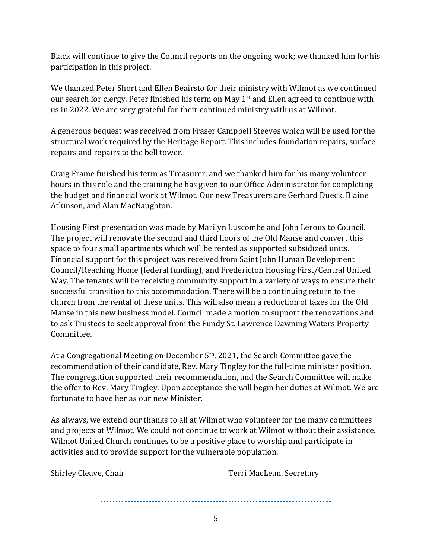Black will continue to give the Council reports on the ongoing work; we thanked him for his participation in this project.

We thanked Peter Short and Ellen Beairsto for their ministry with Wilmot as we continued our search for clergy. Peter finished his term on May 1<sup>st</sup> and Ellen agreed to continue with us in 2022. We are very grateful for their continued ministry with us at Wilmot.

A generous bequest was received from Fraser Campbell Steeves which will be used for the structural work required by the Heritage Report. This includes foundation repairs, surface repairs and repairs to the bell tower.

Craig Frame finished his term as Treasurer, and we thanked him for his many volunteer hours in this role and the training he has given to our Office Administrator for completing the budget and financial work at Wilmot. Our new Treasurers are Gerhard Dueck, Blaine Atkinson, and Alan MacNaughton.

Housing First presentation was made by Marilyn Luscombe and John Leroux to Council. The project will renovate the second and third floors of the Old Manse and convert this space to four small apartments which will be rented as supported subsidized units. Financial support for this project was received from Saint John Human Development Council/Reaching Home (federal funding), and Fredericton Housing First/Central United Way. The tenants will be receiving community support in a variety of ways to ensure their successful transition to this accommodation. There will be a continuing return to the church from the rental of these units. This will also mean a reduction of taxes for the Old Manse in this new business model. Council made a motion to support the renovations and to ask Trustees to seek approval from the Fundy St. Lawrence Dawning Waters Property Committee.

At a Congregational Meeting on December 5th, 2021, the Search Committee gave the recommendation of their candidate, Rev. Mary Tingley for the full-time minister position. The congregation supported their recommendation, and the Search Committee will make the offer to Rev. Mary Tingley. Upon acceptance she will begin her duties at Wilmot. We are fortunate to have her as our new Minister.

As always, we extend our thanks to all at Wilmot who volunteer for the many committees and projects at Wilmot. We could not continue to work at Wilmot without their assistance. Wilmot United Church continues to be a positive place to worship and participate in activities and to provide support for the vulnerable population.

Shirley Cleave, Chair Terri MacLean, Secretary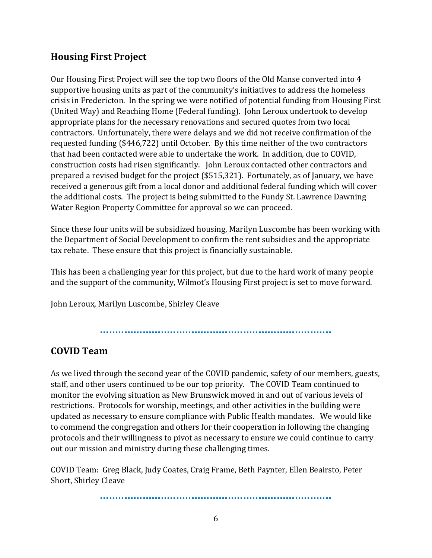## <span id="page-8-0"></span>**Housing First Project**

Our Housing First Project will see the top two floors of the Old Manse converted into 4 supportive housing units as part of the community's initiatives to address the homeless crisis in Fredericton. In the spring we were notified of potential funding from Housing First (United Way) and Reaching Home (Federal funding). John Leroux undertook to develop appropriate plans for the necessary renovations and secured quotes from two local contractors. Unfortunately, there were delays and we did not receive confirmation of the requested funding (\$446,722) until October. By this time neither of the two contractors that had been contacted were able to undertake the work. In addition, due to COVID, construction costs had risen significantly. John Leroux contacted other contractors and prepared a revised budget for the project (\$515,321). Fortunately, as of January, we have received a generous gift from a local donor and additional federal funding which will cover the additional costs. The project is being submitted to the Fundy St. Lawrence Dawning Water Region Property Committee for approval so we can proceed.

Since these four units will be subsidized housing, Marilyn Luscombe has been working with the Department of Social Development to confirm the rent subsidies and the appropriate tax rebate. These ensure that this project is financially sustainable.

This has been a challenging year for this project, but due to the hard work of many people and the support of the community, Wilmot's Housing First project is set to move forward.

John Leroux, Marilyn Luscombe, Shirley Cleave

## <span id="page-8-1"></span>**COVID Team**

As we lived through the second year of the COVID pandemic, safety of our members, guests, staff, and other users continued to be our top priority. The COVID Team continued to monitor the evolving situation as New Brunswick moved in and out of various levels of restrictions. Protocols for worship, meetings, and other activities in the building were updated as necessary to ensure compliance with Public Health mandates. We would like to commend the congregation and others for their cooperation in following the changing protocols and their willingness to pivot as necessary to ensure we could continue to carry out our mission and ministry during these challenging times.

COVID Team: Greg Black, Judy Coates, Craig Frame, Beth Paynter, Ellen Beairsto, Peter Short, Shirley Cleave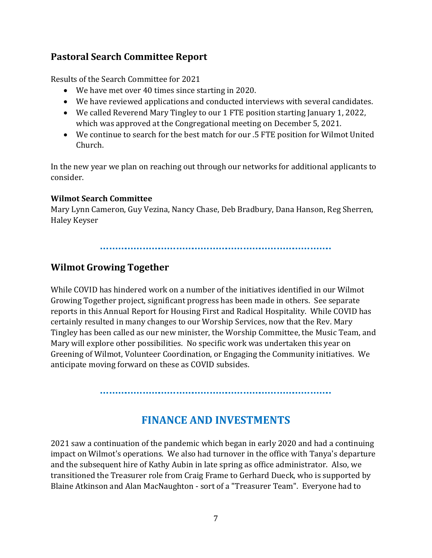## <span id="page-9-0"></span>**Pastoral Search Committee Report**

Results of the Search Committee for 2021

- We have met over 40 times since starting in 2020.
- We have reviewed applications and conducted interviews with several candidates.
- We called Reverend Mary Tingley to our 1 FTE position starting January 1, 2022, which was approved at the Congregational meeting on December 5, 2021.
- We continue to search for the best match for our .5 FTE position for Wilmot United Church.

In the new year we plan on reaching out through our networks for additional applicants to consider.

### **Wilmot Search Committee**

Mary Lynn Cameron, Guy Vezina, Nancy Chase, Deb Bradbury, Dana Hanson, Reg Sherren, Haley Keyser

## <span id="page-9-1"></span>**Wilmot Growing Together**

While COVID has hindered work on a number of the initiatives identified in our Wilmot Growing Together project, significant progress has been made in others. See separate reports in this Annual Report for Housing First and Radical Hospitality. While COVID has certainly resulted in many changes to our Worship Services, now that the Rev. Mary Tingley has been called as our new minister, the Worship Committee, the Music Team, and Mary will explore other possibilities. No specific work was undertaken this year on Greening of Wilmot, Volunteer Coordination, or Engaging the Community initiatives. We anticipate moving forward on these as COVID subsides.

## **FINANCE AND INVESTMENTS**

<span id="page-9-2"></span>2021 saw a continuation of the pandemic which began in early 2020 and had a continuing impact on Wilmot's operations. We also had turnover in the office with Tanya's departure and the subsequent hire of Kathy Aubin in late spring as office administrator. Also, we transitioned the Treasurer role from Craig Frame to Gerhard Dueck, who is supported by Blaine Atkinson and Alan MacNaughton - sort of a "Treasurer Team". Everyone had to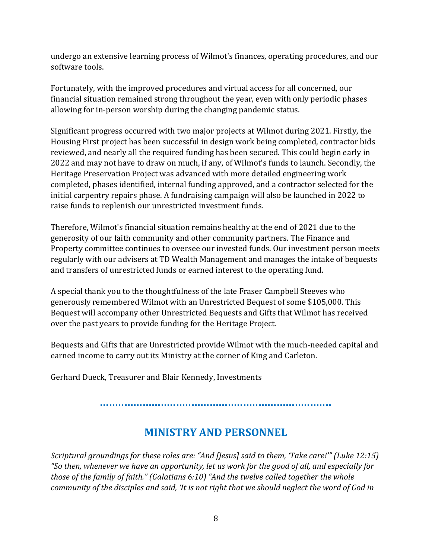undergo an extensive learning process of Wilmot's finances, operating procedures, and our software tools.

Fortunately, with the improved procedures and virtual access for all concerned, our financial situation remained strong throughout the year, even with only periodic phases allowing for in-person worship during the changing pandemic status.

Significant progress occurred with two major projects at Wilmot during 2021. Firstly, the Housing First project has been successful in design work being completed, contractor bids reviewed, and nearly all the required funding has been secured. This could begin early in 2022 and may not have to draw on much, if any, of Wilmot's funds to launch. Secondly, the Heritage Preservation Project was advanced with more detailed engineering work completed, phases identified, internal funding approved, and a contractor selected for the initial carpentry repairs phase. A fundraising campaign will also be launched in 2022 to raise funds to replenish our unrestricted investment funds.

Therefore, Wilmot's financial situation remains healthy at the end of 2021 due to the generosity of our faith community and other community partners. The Finance and Property committee continues to oversee our invested funds. Our investment person meets regularly with our advisers at TD Wealth Management and manages the intake of bequests and transfers of unrestricted funds or earned interest to the operating fund.

A special thank you to the thoughtfulness of the late Fraser Campbell Steeves who generously remembered Wilmot with an Unrestricted Bequest of some \$105,000. This Bequest will accompany other Unrestricted Bequests and Gifts that Wilmot has received over the past years to provide funding for the Heritage Project.

Bequests and Gifts that are Unrestricted provide Wilmot with the much-needed capital and earned income to carry out its Ministry at the corner of King and Carleton.

Gerhard Dueck, Treasurer and Blair Kennedy, Investments

# **MINISTRY AND PERSONNEL**

<span id="page-10-0"></span>*Scriptural groundings for these roles are: "And [Jesus] said to them, 'Take care!'" (Luke 12:15) "So then, whenever we have an opportunity, let us work for the good of all, and especially for those of the family of faith." (Galatians 6:10) "And the twelve called together the whole community of the disciples and said, 'It is not right that we should neglect the word of God in*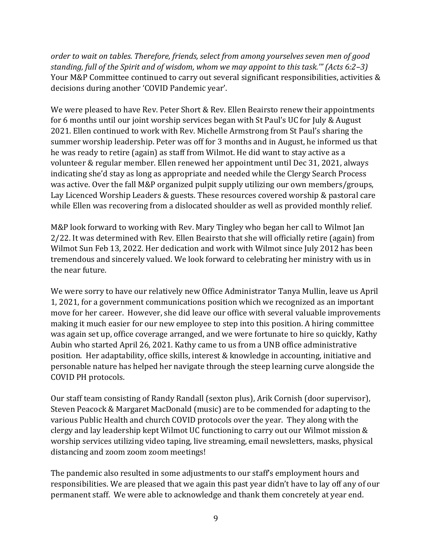*order to wait on tables. Therefore, friends, select from among yourselves seven men of good standing, full of the Spirit and of wisdom, whom we may appoint to this task.'" (Acts 6:2–3)* Your M&P Committee continued to carry out several significant responsibilities, activities & decisions during another 'COVID Pandemic year'.

We were pleased to have Rev. Peter Short & Rev. Ellen Beairsto renew their appointments for 6 months until our joint worship services began with St Paul's UC for July & August 2021. Ellen continued to work with Rev. Michelle Armstrong from St Paul's sharing the summer worship leadership. Peter was off for 3 months and in August, he informed us that he was ready to retire (again) as staff from Wilmot. He did want to stay active as a volunteer & regular member. Ellen renewed her appointment until Dec 31, 2021, always indicating she'd stay as long as appropriate and needed while the Clergy Search Process was active. Over the fall M&P organized pulpit supply utilizing our own members/groups, Lay Licenced Worship Leaders & guests. These resources covered worship & pastoral care while Ellen was recovering from a dislocated shoulder as well as provided monthly relief.

M&P look forward to working with Rev. Mary Tingley who began her call to Wilmot Jan 2/22. It was determined with Rev. Ellen Beairsto that she will officially retire (again) from Wilmot Sun Feb 13, 2022. Her dedication and work with Wilmot since July 2012 has been tremendous and sincerely valued. We look forward to celebrating her ministry with us in the near future.

We were sorry to have our relatively new Office Administrator Tanya Mullin, leave us April 1, 2021, for a government communications position which we recognized as an important move for her career. However, she did leave our office with several valuable improvements making it much easier for our new employee to step into this position. A hiring committee was again set up, office coverage arranged, and we were fortunate to hire so quickly, Kathy Aubin who started April 26, 2021. Kathy came to us from a UNB office administrative position. Her adaptability, office skills, interest & knowledge in accounting, initiative and personable nature has helped her navigate through the steep learning curve alongside the COVID PH protocols.

Our staff team consisting of Randy Randall (sexton plus), Arik Cornish (door supervisor), Steven Peacock & Margaret MacDonald (music) are to be commended for adapting to the various Public Health and church COVID protocols over the year. They along with the clergy and lay leadership kept Wilmot UC functioning to carry out our Wilmot mission & worship services utilizing video taping, live streaming, email newsletters, masks, physical distancing and zoom zoom zoom meetings!

The pandemic also resulted in some adjustments to our staff's employment hours and responsibilities. We are pleased that we again this past year didn't have to lay off any of our permanent staff. We were able to acknowledge and thank them concretely at year end.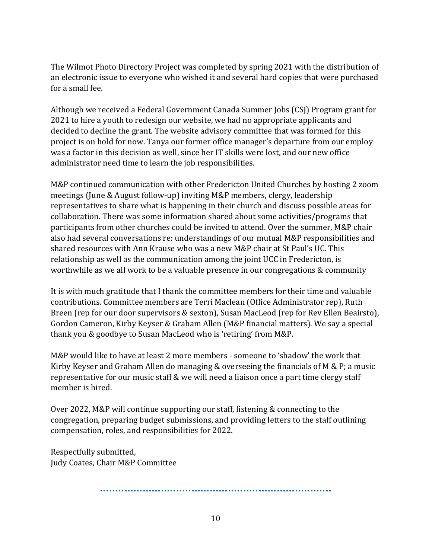The Wilmot Photo Directory Project was completed by spring 2021 with the distribution of an electronic issue to everyone who wished it and several hard copies that were purchased for a small fee.

Although we received a Federal Government Canada Summer Jobs (CSJ) Program grant for 2021 to hire a youth to redesign our website, we had no appropriate applicants and decided to decline the grant. The website advisory committee that was formed for this project is on hold for now. Tanya our former office manager's departure from our employ was a factor in this decision as well, since her IT skills were lost, and our new office administrator need time to learn the job responsibilities.

M&P continued communication with other Fredericton United Churches by hosting 2 zoom meetings (June & August follow-up) inviting M&P members, clergy, leadership representatives to share what is happening in their church and discuss possible areas for collaboration. There was some information shared about some activities/programs that participants from other churches could be invited to attend. Over the summer, M&P chair also had several conversations re: understandings of our mutual M&P responsibilities and shared resources with Ann Krause who was a new M&P chair at St Paul's UC. This relationship as well as the communication among the joint UCC in Fredericton, is worthwhile as we all work to be a valuable presence in our congregations & community

It is with much gratitude that I thank the committee members for their time and valuable contributions. Committee members are Terri Maclean (Office Administrator rep), Ruth Breen (rep for our door supervisors & sexton), Susan MacLeod (rep for Rev Ellen Beairsto), Gordon Cameron, Kirby Keyser & Graham Allen (M&P financial matters). We say a special thank you & goodbye to Susan MacLeod who is 'retiring' from M&P.

M&P would like to have at least 2 more members - someone to 'shadow' the work that Kirby Keyser and Graham Allen do managing & overseeing the financials of M & P; a music representative for our music staff & we will need a liaison once a part time clergy staff member is hired.

Over 2022, M&P will continue supporting our staff, listening & connecting to the congregation, preparing budget submissions, and providing letters to the staff outlining compensation, roles, and responsibilities for 2022.

Respectfully submitted, Judy Coates, Chair M&P Committee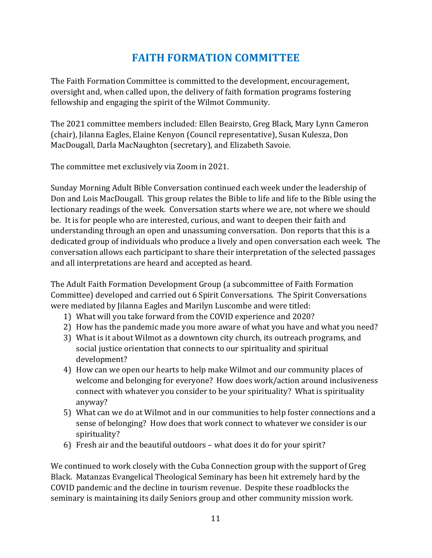# **FAITH FORMATION COMMITTEE**

<span id="page-13-0"></span>The Faith Formation Committee is committed to the development, encouragement, oversight and, when called upon, the delivery of faith formation programs fostering fellowship and engaging the spirit of the Wilmot Community.

The 2021 committee members included: Ellen Beairsto, Greg Black, Mary Lynn Cameron (chair), Jilanna Eagles, Elaine Kenyon (Council representative), Susan Kulesza, Don MacDougall, Darla MacNaughton (secretary), and Elizabeth Savoie.

The committee met exclusively via Zoom in 2021.

Sunday Morning Adult Bible Conversation continued each week under the leadership of Don and Lois MacDougall. This group relates the Bible to life and life to the Bible using the lectionary readings of the week. Conversation starts where we are, not where we should be. It is for people who are interested, curious, and want to deepen their faith and understanding through an open and unassuming conversation. Don reports that this is a dedicated group of individuals who produce a lively and open conversation each week. The conversation allows each participant to share their interpretation of the selected passages and all interpretations are heard and accepted as heard.

The Adult Faith Formation Development Group (a subcommittee of Faith Formation Committee) developed and carried out 6 Spirit Conversations. The Spirit Conversations were mediated by Jilanna Eagles and Marilyn Luscombe and were titled:

- 1) What will you take forward from the COVID experience and 2020?
- 2) How has the pandemic made you more aware of what you have and what you need?
- 3) What is it about Wilmot as a downtown city church, its outreach programs, and social justice orientation that connects to our spirituality and spiritual development?
- 4) How can we open our hearts to help make Wilmot and our community places of welcome and belonging for everyone? How does work/action around inclusiveness connect with whatever you consider to be your spirituality? What is spirituality anyway?
- 5) What can we do at Wilmot and in our communities to help foster connections and a sense of belonging? How does that work connect to whatever we consider is our spirituality?
- 6) Fresh air and the beautiful outdoors what does it do for your spirit?

We continued to work closely with the Cuba Connection group with the support of Greg Black. Matanzas Evangelical Theological Seminary has been hit extremely hard by the COVID pandemic and the decline in tourism revenue. Despite these roadblocks the seminary is maintaining its daily Seniors group and other community mission work.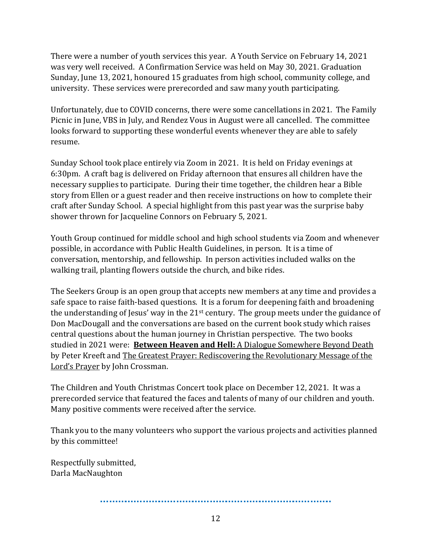There were a number of youth services this year. A Youth Service on February 14, 2021 was very well received. A Confirmation Service was held on May 30, 2021. Graduation Sunday, June 13, 2021, honoured 15 graduates from high school, community college, and university. These services were prerecorded and saw many youth participating.

Unfortunately, due to COVID concerns, there were some cancellations in 2021. The Family Picnic in June, VBS in July, and Rendez Vous in August were all cancelled. The committee looks forward to supporting these wonderful events whenever they are able to safely resume.

Sunday School took place entirely via Zoom in 2021. It is held on Friday evenings at 6:30pm. A craft bag is delivered on Friday afternoon that ensures all children have the necessary supplies to participate. During their time together, the children hear a Bible story from Ellen or a guest reader and then receive instructions on how to complete their craft after Sunday School. A special highlight from this past year was the surprise baby shower thrown for Jacqueline Connors on February 5, 2021.

Youth Group continued for middle school and high school students via Zoom and whenever possible, in accordance with Public Health Guidelines, in person. It is a time of conversation, mentorship, and fellowship. In person activities included walks on the walking trail, planting flowers outside the church, and bike rides.

The Seekers Group is an open group that accepts new members at any time and provides a safe space to raise faith-based questions. It is a forum for deepening faith and broadening the understanding of Jesus' way in the 21st century. The group meets under the guidance of Don MacDougall and the conversations are based on the current book study which raises central questions about the human journey in Christian perspective. The two books studied in 2021 were: **Between Heaven and Hell:** A Dialogue Somewhere Beyond Death by Peter Kreeft and The Greatest Prayer: Rediscovering the Revolutionary Message of the Lord's Prayer by John Crossman.

The Children and Youth Christmas Concert took place on December 12, 2021. It was a prerecorded service that featured the faces and talents of many of our children and youth. Many positive comments were received after the service.

Thank you to the many volunteers who support the various projects and activities planned by this committee!

Respectfully submitted, Darla MacNaughton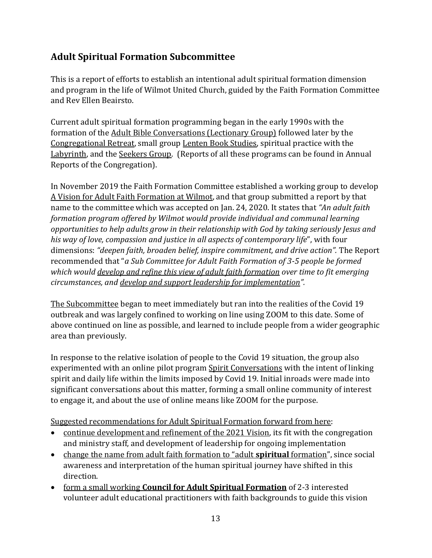## <span id="page-15-0"></span>**Adult Spiritual Formation Subcommittee**

This is a report of efforts to establish an intentional adult spiritual formation dimension and program in the life of Wilmot United Church, guided by the Faith Formation Committee and Rev Ellen Beairsto.

Current adult spiritual formation programming began in the early 1990s with the formation of the Adult Bible Conversations (Lectionary Group) followed later by the Congregational Retreat, small group Lenten Book Studies, spiritual practice with the Labyrinth, and the Seekers Group. (Reports of all these programs can be found in Annual Reports of the Congregation).

In November 2019 the Faith Formation Committee established a working group to develop A Vision for Adult Faith Formation at Wilmot, and that group submitted a report by that name to the committee which was accepted on Jan. 24, 2020. It states that *"An adult faith formation program offered by Wilmot would provide individual and communal learning opportunities to help adults grow in their relationship with God by taking seriously Jesus and his way of love, compassion and justice in all aspects of contemporary life*", with four dimensions: *"deepen faith, broaden belief, inspire commitment, and drive action".* The Report recommended that "*a Sub Committee for Adult Faith Formation of 3-5 people be formed which would develop and refine this view of adult faith formation over time to fit emerging circumstances, and develop and support leadership for implementation".*

The Subcommittee began to meet immediately but ran into the realities of the Covid 19 outbreak and was largely confined to working on line using ZOOM to this date. Some of above continued on line as possible, and learned to include people from a wider geographic area than previously.

In response to the relative isolation of people to the Covid 19 situation, the group also experimented with an online pilot program Spirit Conversations with the intent of linking spirit and daily life within the limits imposed by Covid 19. Initial inroads were made into significant conversations about this matter, forming a small online community of interest to engage it, and about the use of online means like ZOOM for the purpose.

Suggested recommendations for Adult Spiritual Formation forward from here:

- continue development and refinement of the 2021 Vision, its fit with the congregation and ministry staff, and development of leadership for ongoing implementation
- change the name from adult faith formation to "adult **spiritual** formation", since social awareness and interpretation of the human spiritual journey have shifted in this direction.
- form a small working **Council for Adult Spiritual Formation** of 2-3 interested volunteer adult educational practitioners with faith backgrounds to guide this vision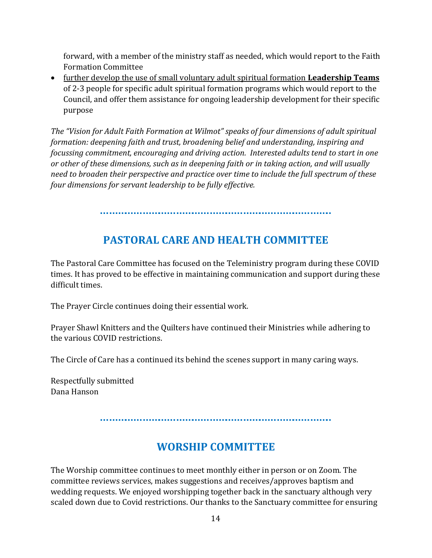forward, with a member of the ministry staff as needed, which would report to the Faith Formation Committee

• further develop the use of small voluntary adult spiritual formation **Leadership Teams** of 2-3 people for specific adult spiritual formation programs which would report to the Council, and offer them assistance for ongoing leadership development for their specific purpose

*The "Vision for Adult Faith Formation at Wilmot" speaks of four dimensions of adult spiritual formation: deepening faith and trust, broadening belief and understanding, inspiring and focussing commitment, encouraging and driving action. Interested adults tend to start in one or other of these dimensions, such as in deepening faith or in taking action, and will usually need to broaden their perspective and practice over time to include the full spectrum of these four dimensions for servant leadership to be fully effective.* 

### 

# **PASTORAL CARE AND HEALTH COMMITTEE**

<span id="page-16-0"></span>The Pastoral Care Committee has focused on the Teleministry program during these COVID times. It has proved to be effective in maintaining communication and support during these difficult times.

The Prayer Circle continues doing their essential work.

Prayer Shawl Knitters and the Quilters have continued their Ministries while adhering to the various COVID restrictions.

The Circle of Care has a continued its behind the scenes support in many caring ways.

Respectfully submitted Dana Hanson

# **WORSHIP COMMITTEE**

<span id="page-16-1"></span>The Worship committee continues to meet monthly either in person or on Zoom. The committee reviews services, makes suggestions and receives/approves baptism and wedding requests. We enjoyed worshipping together back in the sanctuary although very scaled down due to Covid restrictions. Our thanks to the Sanctuary committee for ensuring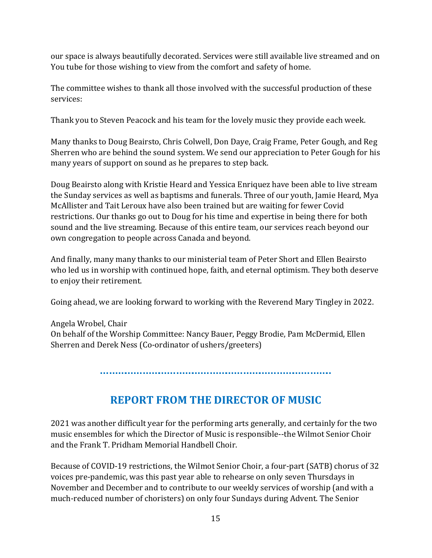our space is always beautifully decorated. Services were still available live streamed and on You tube for those wishing to view from the comfort and safety of home.

The committee wishes to thank all those involved with the successful production of these services:

Thank you to Steven Peacock and his team for the lovely music they provide each week.

Many thanks to Doug Beairsto, Chris Colwell, Don Daye, Craig Frame, Peter Gough, and Reg Sherren who are behind the sound system. We send our appreciation to Peter Gough for his many years of support on sound as he prepares to step back.

Doug Beairsto along with Kristie Heard and Yessica Enriquez have been able to live stream the Sunday services as well as baptisms and funerals. Three of our youth, Jamie Heard, Mya McAllister and Tait Leroux have also been trained but are waiting for fewer Covid restrictions. Our thanks go out to Doug for his time and expertise in being there for both sound and the live streaming. Because of this entire team, our services reach beyond our own congregation to people across Canada and beyond.

And finally, many many thanks to our ministerial team of Peter Short and Ellen Beairsto who led us in worship with continued hope, faith, and eternal optimism. They both deserve to enjoy their retirement.

Going ahead, we are looking forward to working with the Reverend Mary Tingley in 2022.

Angela Wrobel, Chair On behalf of the Worship Committee: Nancy Bauer, Peggy Brodie, Pam McDermid, Ellen Sherren and Derek Ness (Co-ordinator of ushers/greeters)

# **REPORT FROM THE DIRECTOR OF MUSIC**

<span id="page-17-0"></span>2021 was another difficult year for the performing arts generally, and certainly for the two music ensembles for which the Director of Music is responsible--the Wilmot Senior Choir and the Frank T. Pridham Memorial Handbell Choir.

Because of COVID-19 restrictions, the Wilmot Senior Choir, a four-part (SATB) chorus of 32 voices pre-pandemic, was this past year able to rehearse on only seven Thursdays in November and December and to contribute to our weekly services of worship (and with a much-reduced number of choristers) on only four Sundays during Advent. The Senior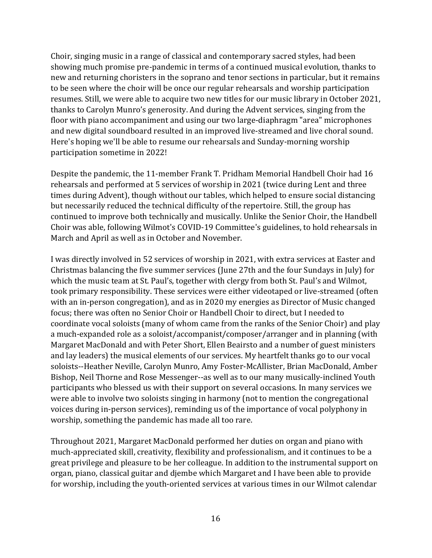Choir, singing music in a range of classical and contemporary sacred styles, had been showing much promise pre-pandemic in terms of a continued musical evolution, thanks to new and returning choristers in the soprano and tenor sections in particular, but it remains to be seen where the choir will be once our regular rehearsals and worship participation resumes. Still, we were able to acquire two new titles for our music library in October 2021, thanks to Carolyn Munro's generosity. And during the Advent services, singing from the floor with piano accompaniment and using our two large-diaphragm "area" microphones and new digital soundboard resulted in an improved live-streamed and live choral sound. Here's hoping we'll be able to resume our rehearsals and Sunday-morning worship participation sometime in 2022!

Despite the pandemic, the 11-member Frank T. Pridham Memorial Handbell Choir had 16 rehearsals and performed at 5 services of worship in 2021 (twice during Lent and three times during Advent), though without our tables, which helped to ensure social distancing but necessarily reduced the technical difficulty of the repertoire. Still, the group has continued to improve both technically and musically. Unlike the Senior Choir, the Handbell Choir was able, following Wilmot's COVID-19 Committee's guidelines, to hold rehearsals in March and April as well as in October and November.

I was directly involved in 52 services of worship in 2021, with extra services at Easter and Christmas balancing the five summer services (June 27th and the four Sundays in July) for which the music team at St. Paul's, together with clergy from both St. Paul's and Wilmot, took primary responsibility. These services were either videotaped or live-streamed (often with an in-person congregation), and as in 2020 my energies as Director of Music changed focus; there was often no Senior Choir or Handbell Choir to direct, but I needed to coordinate vocal soloists (many of whom came from the ranks of the Senior Choir) and play a much-expanded role as a soloist/accompanist/composer/arranger and in planning (with Margaret MacDonald and with Peter Short, Ellen Beairsto and a number of guest ministers and lay leaders) the musical elements of our services. My heartfelt thanks go to our vocal soloists--Heather Neville, Carolyn Munro, Amy Foster-McAllister, Brian MacDonald, Amber Bishop, Neil Thorne and Rose Messenger--as well as to our many musically-inclined Youth participants who blessed us with their support on several occasions. In many services we were able to involve two soloists singing in harmony (not to mention the congregational voices during in-person services), reminding us of the importance of vocal polyphony in worship, something the pandemic has made all too rare.

Throughout 2021, Margaret MacDonald performed her duties on organ and piano with much-appreciated skill, creativity, flexibility and professionalism, and it continues to be a great privilege and pleasure to be her colleague. In addition to the instrumental support on organ, piano, classical guitar and djembe which Margaret and I have been able to provide for worship, including the youth-oriented services at various times in our Wilmot calendar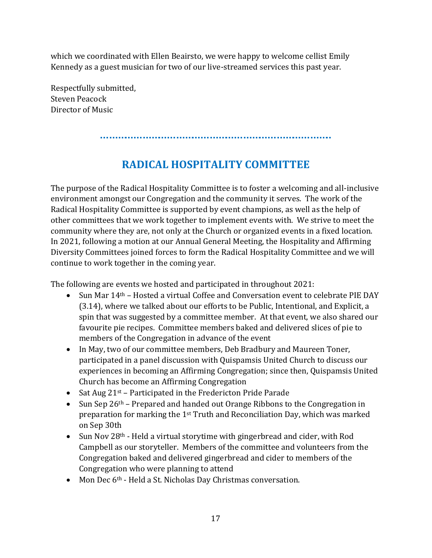which we coordinated with Ellen Beairsto, we were happy to welcome cellist Emily Kennedy as a guest musician for two of our live-streamed services this past year.

Respectfully submitted, Steven Peacock Director of Music

# **RADICAL HOSPITALITY COMMITTEE**

<span id="page-19-0"></span>The purpose of the Radical Hospitality Committee is to foster a welcoming and all-inclusive environment amongst our Congregation and the community it serves. The work of the Radical Hospitality Committee is supported by event champions, as well as the help of other committees that we work together to implement events with. We strive to meet the community where they are, not only at the Church or organized events in a fixed location. In 2021, following a motion at our Annual General Meeting, the Hospitality and Affirming Diversity Committees joined forces to form the Radical Hospitality Committee and we will continue to work together in the coming year.

The following are events we hosted and participated in throughout 2021:

- Sun Mar 14<sup>th</sup> Hosted a virtual Coffee and Conversation event to celebrate PIE DAY (3.14), where we talked about our efforts to be Public, Intentional, and Explicit, a spin that was suggested by a committee member. At that event, we also shared our favourite pie recipes. Committee members baked and delivered slices of pie to members of the Congregation in advance of the event
- In May, two of our committee members, Deb Bradbury and Maureen Toner, participated in a panel discussion with Quispamsis United Church to discuss our experiences in becoming an Affirming Congregation; since then, Quispamsis United Church has become an Affirming Congregation
- Sat Aug 21<sup>st</sup> Participated in the Fredericton Pride Parade
- Sun Sep  $26<sup>th</sup>$  Prepared and handed out Orange Ribbons to the Congregation in preparation for marking the 1st Truth and Reconciliation Day, which was marked on Sep 30th
- Sun Nov 28<sup>th</sup> Held a virtual storytime with gingerbread and cider, with Rod Campbell as our storyteller. Members of the committee and volunteers from the Congregation baked and delivered gingerbread and cider to members of the Congregation who were planning to attend
- Mon Dec 6<sup>th</sup> Held a St. Nicholas Day Christmas conversation.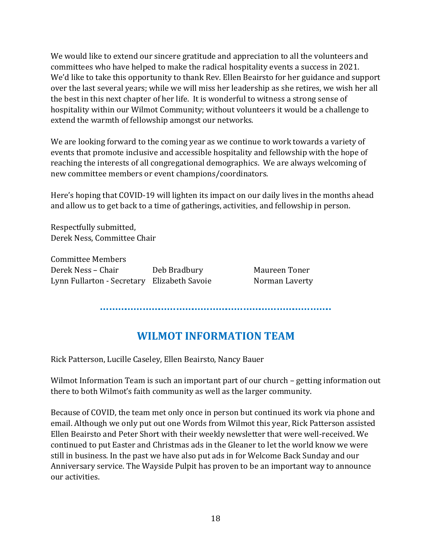We would like to extend our sincere gratitude and appreciation to all the volunteers and committees who have helped to make the radical hospitality events a success in 2021. We'd like to take this opportunity to thank Rev. Ellen Beairsto for her guidance and support over the last several years; while we will miss her leadership as she retires, we wish her all the best in this next chapter of her life. It is wonderful to witness a strong sense of hospitality within our Wilmot Community; without volunteers it would be a challenge to extend the warmth of fellowship amongst our networks.

We are looking forward to the coming year as we continue to work towards a variety of events that promote inclusive and accessible hospitality and fellowship with the hope of reaching the interests of all congregational demographics. We are always welcoming of new committee members or event champions/coordinators.

Here's hoping that COVID-19 will lighten its impact on our daily lives in the months ahead and allow us to get back to a time of gatherings, activities, and fellowship in person.

Respectfully submitted, Derek Ness, Committee Chair

Committee Members Derek Ness – Chair Deb Bradbury Maureen Toner Lynn Fullarton - Secretary Elizabeth Savoie Norman Laverty

# **WILMOT INFORMATION TEAM**

<span id="page-20-0"></span>Rick Patterson, Lucille Caseley, Ellen Beairsto, Nancy Bauer

Wilmot Information Team is such an important part of our church – getting information out there to both Wilmot's faith community as well as the larger community.

Because of COVID, the team met only once in person but continued its work via phone and email. Although we only put out one Words from Wilmot this year, Rick Patterson assisted Ellen Beairsto and Peter Short with their weekly newsletter that were well-received. We continued to put Easter and Christmas ads in the Gleaner to let the world know we were still in business. In the past we have also put ads in for Welcome Back Sunday and our Anniversary service. The Wayside Pulpit has proven to be an important way to announce our activities.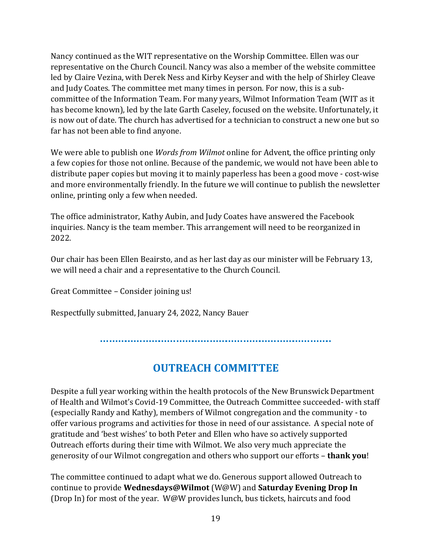Nancy continued as the WIT representative on the Worship Committee. Ellen was our representative on the Church Council. Nancy was also a member of the website committee led by Claire Vezina, with Derek Ness and Kirby Keyser and with the help of Shirley Cleave and Judy Coates. The committee met many times in person. For now, this is a subcommittee of the Information Team. For many years, Wilmot Information Team (WIT as it has become known), led by the late Garth Caseley, focused on the website. Unfortunately, it is now out of date. The church has advertised for a technician to construct a new one but so far has not been able to find anyone.

We were able to publish one *Words from Wilmot* online for Advent, the office printing only a few copies for those not online. Because of the pandemic, we would not have been able to distribute paper copies but moving it to mainly paperless has been a good move - cost-wise and more environmentally friendly. In the future we will continue to publish the newsletter online, printing only a few when needed.

The office administrator, Kathy Aubin, and Judy Coates have answered the Facebook inquiries. Nancy is the team member. This arrangement will need to be reorganized in 2022.

Our chair has been Ellen Beairsto, and as her last day as our minister will be February 13, we will need a chair and a representative to the Church Council.

Great Committee – Consider joining us!

Respectfully submitted, January 24, 2022, Nancy Bauer

# **OUTREACH COMMITTEE**

<span id="page-21-0"></span>Despite a full year working within the health protocols of the New Brunswick Department of Health and Wilmot's Covid-19 Committee, the Outreach Committee succeeded- with staff (especially Randy and Kathy), members of Wilmot congregation and the community - to offer various programs and activities for those in need of our assistance. A special note of gratitude and 'best wishes' to both Peter and Ellen who have so actively supported Outreach efforts during their time with Wilmot. We also very much appreciate the generosity of our Wilmot congregation and others who support our efforts – **thank you**!

The committee continued to adapt what we do. Generous support allowed Outreach to continue to provide **Wednesdays@Wilmot** (W@W) and **Saturday Evening Drop In** (Drop In) for most of the year. W@W provides lunch, bus tickets, haircuts and food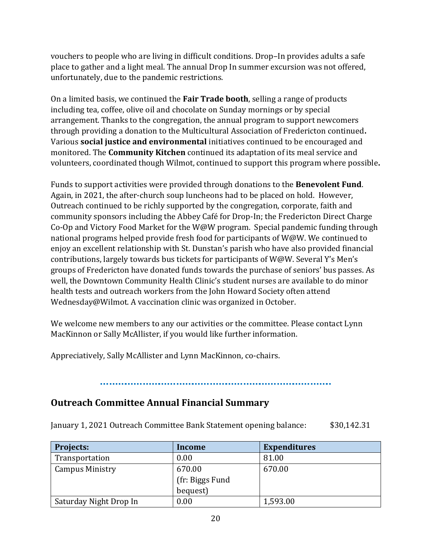vouchers to people who are living in difficult conditions. Drop–In provides adults a safe place to gather and a light meal. The annual Drop In summer excursion was not offered, unfortunately, due to the pandemic restrictions.

On a limited basis, we continued the **Fair Trade booth**, selling a range of products including tea, coffee, olive oil and chocolate on Sunday mornings or by special arrangement. Thanks to the congregation, the annual program to support newcomers through providing a donation to the Multicultural Association of Fredericton continued**.**  Various **social justice and environmental** initiatives continued to be encouraged and monitored. The **Community Kitchen** continued its adaptation of its meal service and volunteers, coordinated though Wilmot, continued to support this program where possible**.** 

Funds to support activities were provided through donations to the **Benevolent Fund**. Again, in 2021, the after-church soup luncheons had to be placed on hold. However, Outreach continued to be richly supported by the congregation, corporate, faith and community sponsors including the Abbey Café for Drop-In; the Fredericton Direct Charge Co-Op and Victory Food Market for the W@W program. Special pandemic funding through national programs helped provide fresh food for participants of W@W. We continued to enjoy an excellent relationship with St. Dunstan's parish who have also provided financial contributions, largely towards bus tickets for participants of W@W. Several Y's Men's groups of Fredericton have donated funds towards the purchase of seniors' bus passes. As well, the Downtown Community Health Clinic's student nurses are available to do minor health tests and outreach workers from the John Howard Society often attend Wednesday@Wilmot. A vaccination clinic was organized in October.

We welcome new members to any our activities or the committee. Please contact Lynn MacKinnon or Sally McAllister, if you would like further information.

Appreciatively, Sally McAllister and Lynn MacKinnon, co-chairs.

### 

## <span id="page-22-0"></span>**Outreach Committee Annual Financial Summary**

January 1, 2021 Outreach Committee Bank Statement opening balance: \$30,142.31

| <b>Projects:</b>       | Income           | <b>Expenditures</b> |
|------------------------|------------------|---------------------|
| Transportation         | 0.00             | 81.00               |
| <b>Campus Ministry</b> | 670.00           | 670.00              |
|                        | (fr: Biggs Fund) |                     |
|                        | bequest)         |                     |
| Saturday Night Drop In | 0.00             | 1,593.00            |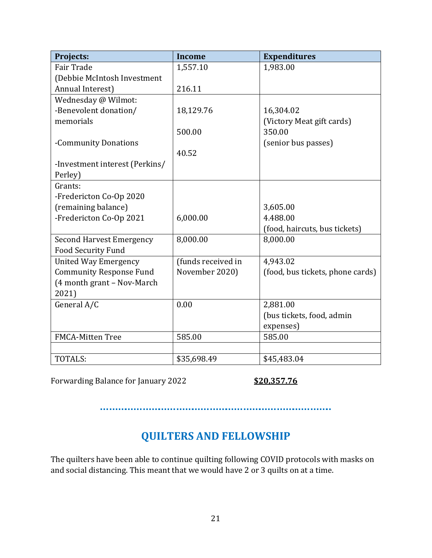| Projects:                       | <b>Income</b>      | <b>Expenditures</b>              |
|---------------------------------|--------------------|----------------------------------|
| <b>Fair Trade</b>               | 1,557.10           | 1,983.00                         |
| (Debbie McIntosh Investment     |                    |                                  |
| Annual Interest)                | 216.11             |                                  |
| Wednesday @ Wilmot:             |                    |                                  |
| -Benevolent donation/           | 18,129.76          | 16,304.02                        |
| memorials                       |                    | (Victory Meat gift cards)        |
|                                 | 500.00             | 350.00                           |
| -Community Donations            |                    | (senior bus passes)              |
|                                 | 40.52              |                                  |
| -Investment interest (Perkins/  |                    |                                  |
| Perley)                         |                    |                                  |
| Grants:                         |                    |                                  |
| -Fredericton Co-Op 2020         |                    |                                  |
| (remaining balance)             |                    | 3,605.00                         |
| -Fredericton Co-Op 2021         | 6,000.00           | 4.488.00                         |
|                                 |                    | (food, haircuts, bus tickets)    |
| <b>Second Harvest Emergency</b> | 8,000.00           | 8,000.00                         |
| <b>Food Security Fund</b>       |                    |                                  |
| <b>United Way Emergency</b>     | (funds received in | 4,943.02                         |
| <b>Community Response Fund</b>  | November 2020)     | (food, bus tickets, phone cards) |
| (4 month grant - Nov-March      |                    |                                  |
| 2021)                           |                    |                                  |
| General A/C                     | 0.00               | 2,881.00                         |
|                                 |                    | (bus tickets, food, admin        |
|                                 |                    | expenses)                        |
| <b>FMCA-Mitten Tree</b>         | 585.00             | 585.00                           |
|                                 |                    |                                  |
| TOTALS:                         | \$35,698.49        | \$45,483.04                      |

Forwarding Balance for January 2022 **\$20,357.76**

.............

................

**QUILTERS AND FELLOWSHIP**

<span id="page-23-0"></span>The quilters have been able to continue quilting following COVID protocols with masks on and social distancing. This meant that we would have 2 or 3 quilts on at a time.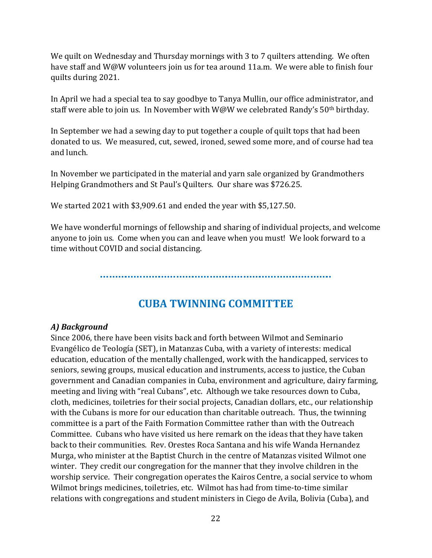We quilt on Wednesday and Thursday mornings with 3 to 7 quilters attending. We often have staff and W@W volunteers join us for tea around 11a.m. We were able to finish four quilts during 2021.

In April we had a special tea to say goodbye to Tanya Mullin, our office administrator, and staff were able to join us. In November with W@W we celebrated Randy's 50<sup>th</sup> birthday.

In September we had a sewing day to put together a couple of quilt tops that had been donated to us. We measured, cut, sewed, ironed, sewed some more, and of course had tea and lunch.

In November we participated in the material and yarn sale organized by Grandmothers Helping Grandmothers and St Paul's Quilters. Our share was \$726.25.

We started 2021 with \$3,909.61 and ended the year with \$5,127.50.

We have wonderful mornings of fellowship and sharing of individual projects, and welcome anyone to join us. Come when you can and leave when you must! We look forward to a time without COVID and social distancing.

# **CUBA TWINNING COMMITTEE**

#### <span id="page-24-0"></span>*A) Background*

Since 2006, there have been visits back and forth between Wilmot and Seminario Evangélico de Teología (SET), in Matanzas Cuba, with a variety of interests: medical education, education of the mentally challenged, work with the handicapped, services to seniors, sewing groups, musical education and instruments, access to justice, the Cuban government and Canadian companies in Cuba, environment and agriculture, dairy farming, meeting and living with "real Cubans", etc. Although we take resources down to Cuba, cloth, medicines, toiletries for their social projects, Canadian dollars, etc., our relationship with the Cubans is more for our education than charitable outreach. Thus, the twinning committee is a part of the Faith Formation Committee rather than with the Outreach Committee. Cubans who have visited us here remark on the ideas that they have taken back to their communities. Rev. Orestes Roca Santana and his wife Wanda Hernandez Murga, who minister at the Baptist Church in the centre of Matanzas visited Wilmot one winter. They credit our congregation for the manner that they involve children in the worship service. Their congregation operates the Kairos Centre, a social service to whom Wilmot brings medicines, toiletries, etc. Wilmot has had from time-to-time similar relations with congregations and student ministers in Ciego de Avila, Bolivia (Cuba), and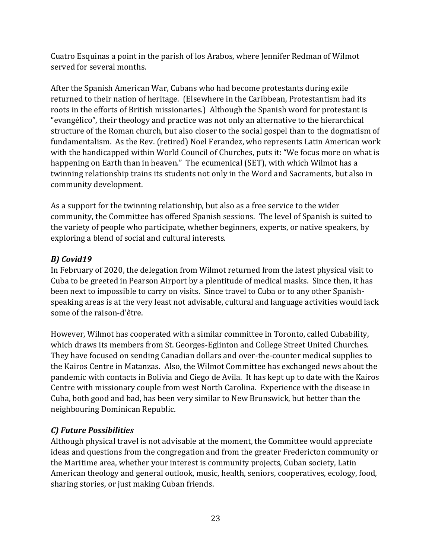Cuatro Esquinas a point in the parish of los Arabos, where Jennifer Redman of Wilmot served for several months.

After the Spanish American War, Cubans who had become protestants during exile returned to their nation of heritage. (Elsewhere in the Caribbean, Protestantism had its roots in the efforts of British missionaries.) Although the Spanish word for protestant is "evangélico", their theology and practice was not only an alternative to the hierarchical structure of the Roman church, but also closer to the social gospel than to the dogmatism of fundamentalism. As the Rev. (retired) Noel Ferandez, who represents Latin American work with the handicapped within World Council of Churches, puts it: "We focus more on what is happening on Earth than in heaven." The ecumenical (SET), with which Wilmot has a twinning relationship trains its students not only in the Word and Sacraments, but also in community development.

As a support for the twinning relationship, but also as a free service to the wider community, the Committee has offered Spanish sessions. The level of Spanish is suited to the variety of people who participate, whether beginners, experts, or native speakers, by exploring a blend of social and cultural interests.

### *B) Covid19*

In February of 2020, the delegation from Wilmot returned from the latest physical visit to Cuba to be greeted in Pearson Airport by a plentitude of medical masks. Since then, it has been next to impossible to carry on visits. Since travel to Cuba or to any other Spanishspeaking areas is at the very least not advisable, cultural and language activities would lack some of the raison-d'être.

However, Wilmot has cooperated with a similar committee in Toronto, called Cubability, which draws its members from St. Georges-Eglinton and College Street United Churches. They have focused on sending Canadian dollars and over-the-counter medical supplies to the Kairos Centre in Matanzas. Also, the Wilmot Committee has exchanged news about the pandemic with contacts in Bolivia and Ciego de Avila. It has kept up to date with the Kairos Centre with missionary couple from west North Carolina. Experience with the disease in Cuba, both good and bad, has been very similar to New Brunswick, but better than the neighbouring Dominican Republic.

### *C) Future Possibilities*

Although physical travel is not advisable at the moment, the Committee would appreciate ideas and questions from the congregation and from the greater Fredericton community or the Maritime area, whether your interest is community projects, Cuban society, Latin American theology and general outlook, music, health, seniors, cooperatives, ecology, food, sharing stories, or just making Cuban friends.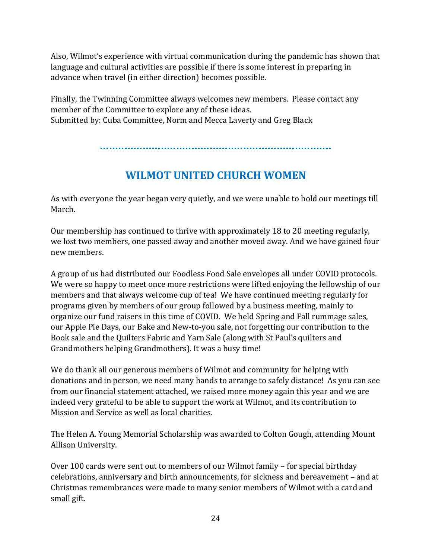Also, Wilmot's experience with virtual communication during the pandemic has shown that language and cultural activities are possible if there is some interest in preparing in advance when travel (in either direction) becomes possible.

Finally, the Twinning Committee always welcomes new members. Please contact any member of the Committee to explore any of these ideas. Submitted by: Cuba Committee, Norm and Mecca Laverty and Greg Black

### 

# **WILMOT UNITED CHURCH WOMEN**

<span id="page-26-0"></span>As with everyone the year began very quietly, and we were unable to hold our meetings till March.

Our membership has continued to thrive with approximately 18 to 20 meeting regularly, we lost two members, one passed away and another moved away. And we have gained four new members.

A group of us had distributed our Foodless Food Sale envelopes all under COVID protocols. We were so happy to meet once more restrictions were lifted enjoying the fellowship of our members and that always welcome cup of tea! We have continued meeting regularly for programs given by members of our group followed by a business meeting, mainly to organize our fund raisers in this time of COVID. We held Spring and Fall rummage sales, our Apple Pie Days, our Bake and New-to-you sale, not forgetting our contribution to the Book sale and the Quilters Fabric and Yarn Sale (along with St Paul's quilters and Grandmothers helping Grandmothers). It was a busy time!

We do thank all our generous members of Wilmot and community for helping with donations and in person, we need many hands to arrange to safely distance! As you can see from our financial statement attached, we raised more money again this year and we are indeed very grateful to be able to support the work at Wilmot, and its contribution to Mission and Service as well as local charities.

The Helen A. Young Memorial Scholarship was awarded to Colton Gough, attending Mount Allison University.

Over 100 cards were sent out to members of our Wilmot family – for special birthday celebrations, anniversary and birth announcements, for sickness and bereavement – and at Christmas remembrances were made to many senior members of Wilmot with a card and small gift.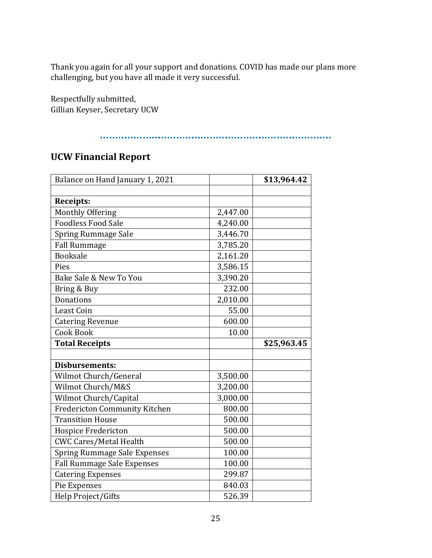Thank you again for all your support and donations. COVID has made our plans more challenging, but you have all made it very successful.

Respectfully submitted, Gillian Keyser, Secretary UCW

# <span id="page-27-0"></span>**UCW Financial Report**

| Balance on Hand January 1, 2021     |          | \$13,964.42 |
|-------------------------------------|----------|-------------|
| <b>Receipts:</b>                    |          |             |
| Monthly Offering                    | 2,447.00 |             |
| <b>Foodless Food Sale</b>           | 4,240.00 |             |
| <b>Spring Rummage Sale</b>          | 3,446.70 |             |
| <b>Fall Rummage</b>                 | 3,785.20 |             |
| <b>Booksale</b>                     | 2,161.20 |             |
| Pies                                | 3,586.15 |             |
| Bake Sale & New To You              | 3,390.20 |             |
| Bring & Buy                         | 232.00   |             |
| Donations                           | 2,010.00 |             |
| Least Coin                          | 55.00    |             |
| <b>Catering Revenue</b>             | 600.00   |             |
| <b>Cook Book</b>                    | 10.00    |             |
|                                     |          |             |
| <b>Total Receipts</b>               |          | \$25,963.45 |
|                                     |          |             |
| <b>Disbursements:</b>               |          |             |
| Wilmot Church/General               | 3,500.00 |             |
| Wilmot Church/M&S                   | 3,200.00 |             |
| Wilmot Church/Capital               | 3,000.00 |             |
| Fredericton Community Kitchen       | 800.00   |             |
| <b>Transition House</b>             | 500.00   |             |
| <b>Hospice Fredericton</b>          | 500.00   |             |
| <b>CWC Cares/Metal Health</b>       | 500.00   |             |
| <b>Spring Rummage Sale Expenses</b> | 100.00   |             |
| <b>Fall Rummage Sale Expenses</b>   | 100.00   |             |
| <b>Catering Expenses</b>            | 299.87   |             |
| Pie Expenses                        | 840.03   |             |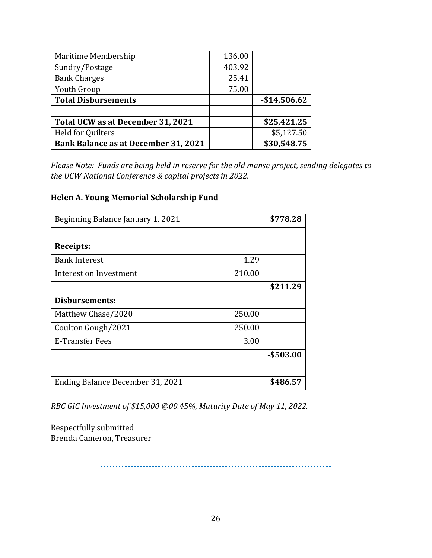| Maritime Membership                         | 136.00 |               |
|---------------------------------------------|--------|---------------|
| Sundry/Postage                              | 403.92 |               |
| <b>Bank Charges</b>                         | 25.41  |               |
| <b>Youth Group</b>                          | 75.00  |               |
| <b>Total Disbursements</b>                  |        | $-$14,506.62$ |
|                                             |        |               |
| Total UCW as at December 31, 2021           |        | \$25,421.25   |
| <b>Held for Quilters</b>                    |        | \$5,127.50    |
| <b>Bank Balance as at December 31, 2021</b> |        | \$30,548.75   |

*Please Note: Funds are being held in reserve for the old manse project, sending delegates to the UCW National Conference & capital projects in 2022.* 

**Helen A. Young Memorial Scholarship Fund**

| Beginning Balance January 1, 2021 |        | \$778.28   |
|-----------------------------------|--------|------------|
|                                   |        |            |
| Receipts:                         |        |            |
| <b>Bank Interest</b>              | 1.29   |            |
| Interest on Investment            | 210.00 |            |
|                                   |        | \$211.29   |
| <b>Disbursements:</b>             |        |            |
| Matthew Chase/2020                | 250.00 |            |
| Coulton Gough/2021                | 250.00 |            |
| E-Transfer Fees                   | 3.00   |            |
|                                   |        | $-$503.00$ |
|                                   |        |            |
| Ending Balance December 31, 2021  |        | \$486.57   |

*RBC GIC Investment of \$15,000 @00.45%, Maturity Date of May 11, 2022.*

Respectfully submitted Brenda Cameron, Treasurer

> a a c a sa sala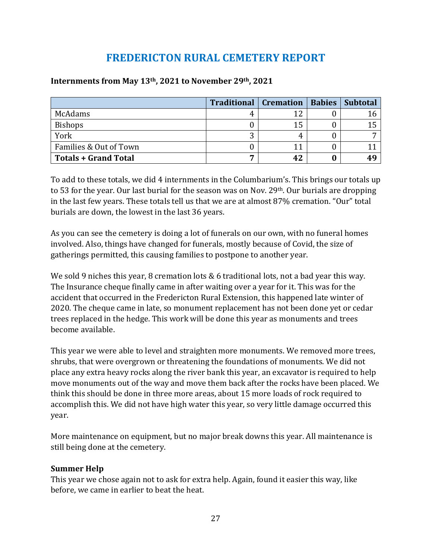# **FREDERICTON RURAL CEMETERY REPORT**

|                             | <b>Traditional</b> | <b>Cremation</b> | <b>Babies</b> | <b>Subtotal</b> |
|-----------------------------|--------------------|------------------|---------------|-----------------|
| McAdams                     |                    | 12               |               |                 |
| <b>Bishops</b>              |                    | 15               |               |                 |
| York                        |                    |                  |               |                 |
| Families & Out of Town      |                    | 11               |               |                 |
| <b>Totals + Grand Total</b> |                    | 42               |               | 49              |

#### <span id="page-29-0"></span>**Internments from May 13th, 2021 to November 29th, 2021**

To add to these totals, we did 4 internments in the Columbarium's. This brings our totals up to 53 for the year. Our last burial for the season was on Nov. 29<sup>th</sup>. Our burials are dropping in the last few years. These totals tell us that we are at almost 87% cremation. "Our" total burials are down, the lowest in the last 36 years.

As you can see the cemetery is doing a lot of funerals on our own, with no funeral homes involved. Also, things have changed for funerals, mostly because of Covid, the size of gatherings permitted, this causing families to postpone to another year.

We sold 9 niches this year, 8 cremation lots  $\& 6$  traditional lots, not a bad year this way. The Insurance cheque finally came in after waiting over a year for it. This was for the accident that occurred in the Fredericton Rural Extension, this happened late winter of 2020. The cheque came in late, so monument replacement has not been done yet or cedar trees replaced in the hedge. This work will be done this year as monuments and trees become available.

This year we were able to level and straighten more monuments. We removed more trees, shrubs, that were overgrown or threatening the foundations of monuments. We did not place any extra heavy rocks along the river bank this year, an excavator is required to help move monuments out of the way and move them back after the rocks have been placed. We think this should be done in three more areas, about 15 more loads of rock required to accomplish this. We did not have high water this year, so very little damage occurred this year.

More maintenance on equipment, but no major break downs this year. All maintenance is still being done at the cemetery.

#### **Summer Help**

This year we chose again not to ask for extra help. Again, found it easier this way, like before, we came in earlier to beat the heat.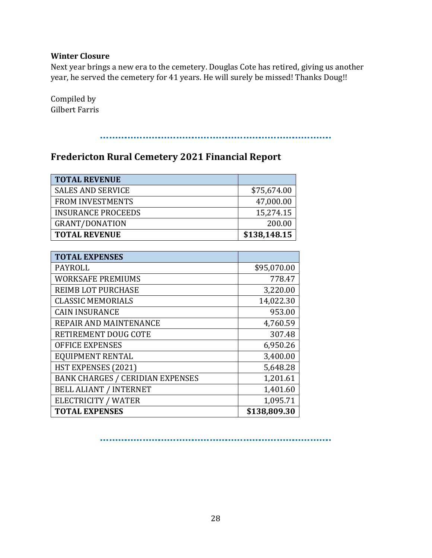### **Winter Closure**

Next year brings a new era to the cemetery. Douglas Cote has retired, giving us another year, he served the cemetery for 41 years. He will surely be missed! Thanks Doug!!

Compiled by Gilbert Farris

#### 

# <span id="page-30-0"></span>**Fredericton Rural Cemetery 2021 Financial Report**

| <b>TOTAL REVENUE</b>      |              |
|---------------------------|--------------|
| <b>SALES AND SERVICE</b>  | \$75,674.00  |
| <b>FROM INVESTMENTS</b>   | 47,000.00    |
| <b>INSURANCE PROCEEDS</b> | 15,274.15    |
| <b>GRANT/DONATION</b>     | 200.00       |
| <b>TOTAL REVENUE</b>      | \$138,148.15 |

| <b>TOTAL EXPENSES</b>                   |              |
|-----------------------------------------|--------------|
| <b>PAYROLL</b>                          | \$95,070.00  |
| <b>WORKSAFE PREMIUMS</b>                | 778.47       |
| REIMB LOT PURCHASE                      | 3,220.00     |
| <b>CLASSIC MEMORIALS</b>                | 14,022.30    |
| <b>CAIN INSURANCE</b>                   | 953.00       |
| REPAIR AND MAINTENANCE                  | 4,760.59     |
| RETIREMENT DOUG COTE                    | 307.48       |
| <b>OFFICE EXPENSES</b>                  | 6,950.26     |
| <b>EQUIPMENT RENTAL</b>                 | 3,400.00     |
| HST EXPENSES (2021)                     | 5,648.28     |
| <b>BANK CHARGES / CERIDIAN EXPENSES</b> | 1,201.61     |
| <b>BELL ALIANT / INTERNET</b>           | 1,401.60     |
| ELECTRICITY / WATER                     | 1,095.71     |
| <b>TOTAL EXPENSES</b>                   | \$138,809.30 |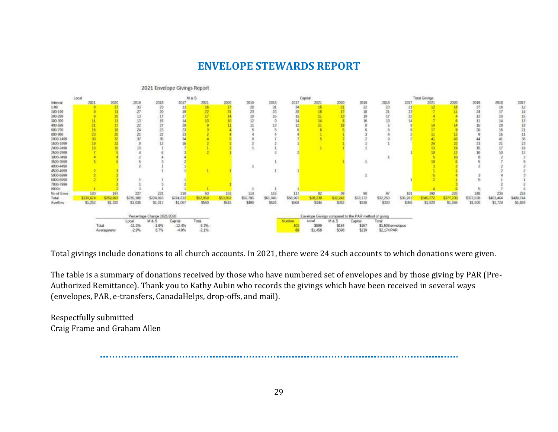# **ENVELOPE STEWARDS REPORT**



<span id="page-31-0"></span>Total givings include donations to all church accounts. In 2021, there were 24 such accounts to which donations were given.

The table is a summary of donations received by those who have numbered set of envelopes and by those giving by PAR (Pre-Authorized Remittance). Thank you to Kathy Aubin who records the givings which have been received in several ways (envelopes, PAR, e-transfers, CanadaHelps, drop-offs, and mail).

Respectfully submitted Craig Frame and Graham Allen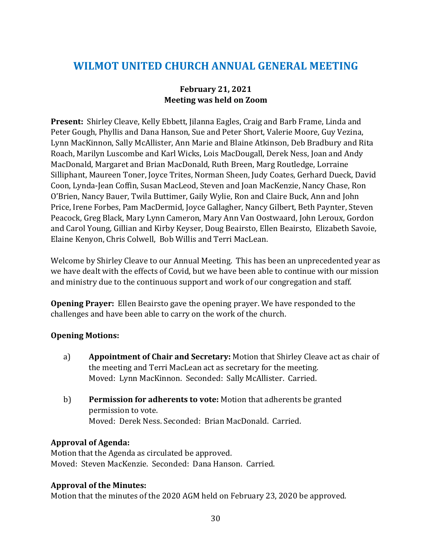# <span id="page-32-0"></span>**WILMOT UNITED CHURCH ANNUAL GENERAL MEETING**

### **February 21, 2021 Meeting was held on Zoom**

**Present:** Shirley Cleave, Kelly Ebbett, Jilanna Eagles, Craig and Barb Frame, Linda and Peter Gough, Phyllis and Dana Hanson, Sue and Peter Short, Valerie Moore, Guy Vezina, Lynn MacKinnon, Sally McAllister, Ann Marie and Blaine Atkinson, Deb Bradbury and Rita Roach, Marilyn Luscombe and Karl Wicks, Lois MacDougall, Derek Ness, Joan and Andy MacDonald, Margaret and Brian MacDonald, Ruth Breen, Marg Routledge, Lorraine Silliphant, Maureen Toner, Joyce Trites, Norman Sheen, Judy Coates, Gerhard Dueck, David Coon, Lynda-Jean Coffin, Susan MacLeod, Steven and Joan MacKenzie, Nancy Chase, Ron O'Brien, Nancy Bauer, Twila Buttimer, Gaily Wylie, Ron and Claire Buck, Ann and John Price, Irene Forbes, Pam MacDermid, Joyce Gallagher, Nancy Gilbert, Beth Paynter, Steven Peacock, Greg Black, Mary Lynn Cameron, Mary Ann Van Oostwaard, John Leroux, Gordon and Carol Young, Gillian and Kirby Keyser, Doug Beairsto, Ellen Beairsto, Elizabeth Savoie, Elaine Kenyon, Chris Colwell, Bob Willis and Terri MacLean.

Welcome by Shirley Cleave to our Annual Meeting. This has been an unprecedented year as we have dealt with the effects of Covid, but we have been able to continue with our mission and ministry due to the continuous support and work of our congregation and staff.

**Opening Prayer:** Ellen Beairsto gave the opening prayer. We have responded to the challenges and have been able to carry on the work of the church.

### **Opening Motions:**

- a) **Appointment of Chair and Secretary:** Motion that Shirley Cleave act as chair of the meeting and Terri MacLean act as secretary for the meeting. Moved: Lynn MacKinnon. Seconded: Sally McAllister. Carried.
- b) **Permission for adherents to vote:** Motion that adherents be granted permission to vote. Moved: Derek Ness. Seconded: Brian MacDonald. Carried.

### **Approval of Agenda:**

Motion that the Agenda as circulated be approved. Moved: Steven MacKenzie. Seconded: Dana Hanson. Carried.

### **Approval of the Minutes:**

Motion that the minutes of the 2020 AGM held on February 23, 2020 be approved.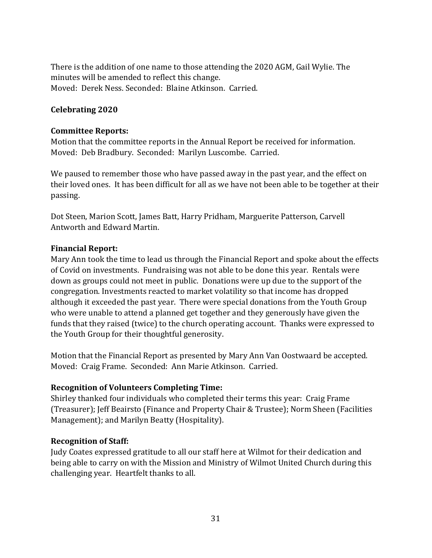There is the addition of one name to those attending the 2020 AGM, Gail Wylie. The minutes will be amended to reflect this change. Moved: Derek Ness. Seconded: Blaine Atkinson. Carried.

#### **Celebrating 2020**

#### **Committee Reports:**

Motion that the committee reports in the Annual Report be received for information. Moved: Deb Bradbury. Seconded: Marilyn Luscombe. Carried.

We paused to remember those who have passed away in the past year, and the effect on their loved ones. It has been difficult for all as we have not been able to be together at their passing.

Dot Steen, Marion Scott, James Batt, Harry Pridham, Marguerite Patterson, Carvell Antworth and Edward Martin.

#### **Financial Report:**

Mary Ann took the time to lead us through the Financial Report and spoke about the effects of Covid on investments. Fundraising was not able to be done this year. Rentals were down as groups could not meet in public. Donations were up due to the support of the congregation. Investments reacted to market volatility so that income has dropped although it exceeded the past year. There were special donations from the Youth Group who were unable to attend a planned get together and they generously have given the funds that they raised (twice) to the church operating account. Thanks were expressed to the Youth Group for their thoughtful generosity.

Motion that the Financial Report as presented by Mary Ann Van Oostwaard be accepted. Moved: Craig Frame. Seconded: Ann Marie Atkinson. Carried.

#### **Recognition of Volunteers Completing Time:**

Shirley thanked four individuals who completed their terms this year: Craig Frame (Treasurer); Jeff Beairsto (Finance and Property Chair & Trustee); Norm Sheen (Facilities Management); and Marilyn Beatty (Hospitality).

#### **Recognition of Staff:**

Judy Coates expressed gratitude to all our staff here at Wilmot for their dedication and being able to carry on with the Mission and Ministry of Wilmot United Church during this challenging year. Heartfelt thanks to all.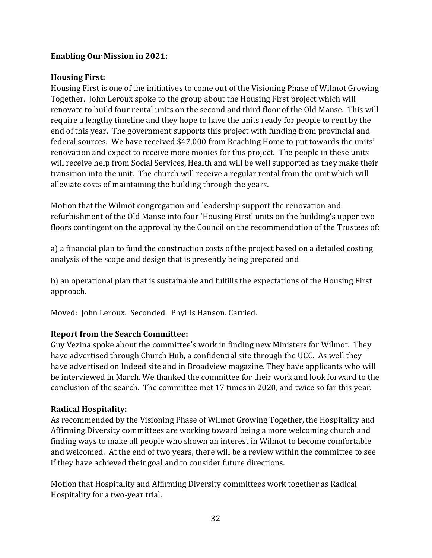### **Enabling Our Mission in 2021:**

### **Housing First:**

Housing First is one of the initiatives to come out of the Visioning Phase of Wilmot Growing Together. John Leroux spoke to the group about the Housing First project which will renovate to build four rental units on the second and third floor of the Old Manse. This will require a lengthy timeline and they hope to have the units ready for people to rent by the end of this year. The government supports this project with funding from provincial and federal sources. We have received \$47,000 from Reaching Home to put towards the units' renovation and expect to receive more monies for this project. The people in these units will receive help from Social Services, Health and will be well supported as they make their transition into the unit. The church will receive a regular rental from the unit which will alleviate costs of maintaining the building through the years.

Motion that the Wilmot congregation and leadership support the renovation and refurbishment of the Old Manse into four 'Housing First' units on the building's upper two floors contingent on the approval by the Council on the recommendation of the Trustees of:

a) a financial plan to fund the construction costs of the project based on a detailed costing analysis of the scope and design that is presently being prepared and

b) an operational plan that is sustainable and fulfills the expectations of the Housing First approach.

Moved: John Leroux. Seconded: Phyllis Hanson. Carried.

### **Report from the Search Committee:**

Guy Vezina spoke about the committee's work in finding new Ministers for Wilmot. They have advertised through Church Hub, a confidential site through the UCC. As well they have advertised on Indeed site and in Broadview magazine. They have applicants who will be interviewed in March. We thanked the committee for their work and look forward to the conclusion of the search. The committee met 17 times in 2020, and twice so far this year.

#### **Radical Hospitality:**

As recommended by the Visioning Phase of Wilmot Growing Together, the Hospitality and Affirming Diversity committees are working toward being a more welcoming church and finding ways to make all people who shown an interest in Wilmot to become comfortable and welcomed. At the end of two years, there will be a review within the committee to see if they have achieved their goal and to consider future directions.

Motion that Hospitality and Affirming Diversity committees work together as Radical Hospitality for a two-year trial.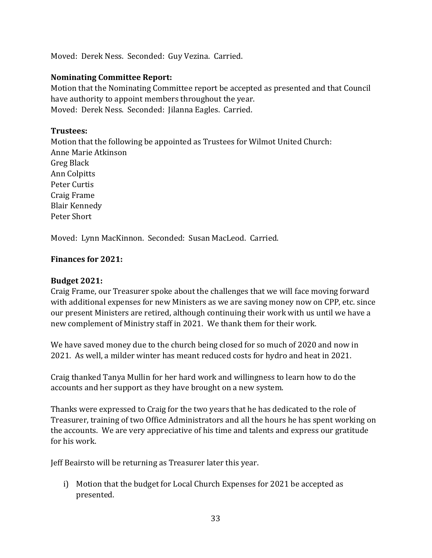Moved: Derek Ness. Seconded: Guy Vezina. Carried.

### **Nominating Committee Report:**

Motion that the Nominating Committee report be accepted as presented and that Council have authority to appoint members throughout the year. Moved: Derek Ness. Seconded: Jilanna Eagles. Carried.

### **Trustees:**

Motion that the following be appointed as Trustees for Wilmot United Church: Anne Marie Atkinson Greg Black Ann Colpitts Peter Curtis Craig Frame Blair Kennedy Peter Short

Moved: Lynn MacKinnon. Seconded: Susan MacLeod. Carried.

### **Finances for 2021:**

### **Budget 2021:**

Craig Frame, our Treasurer spoke about the challenges that we will face moving forward with additional expenses for new Ministers as we are saving money now on CPP, etc. since our present Ministers are retired, although continuing their work with us until we have a new complement of Ministry staff in 2021. We thank them for their work.

We have saved money due to the church being closed for so much of 2020 and now in 2021. As well, a milder winter has meant reduced costs for hydro and heat in 2021.

Craig thanked Tanya Mullin for her hard work and willingness to learn how to do the accounts and her support as they have brought on a new system.

Thanks were expressed to Craig for the two years that he has dedicated to the role of Treasurer, training of two Office Administrators and all the hours he has spent working on the accounts. We are very appreciative of his time and talents and express our gratitude for his work.

Jeff Beairsto will be returning as Treasurer later this year.

i) Motion that the budget for Local Church Expenses for 2021 be accepted as presented.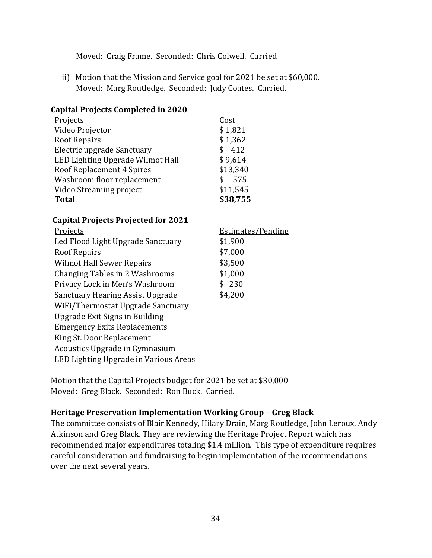Moved: Craig Frame. Seconded: Chris Colwell. Carried

ii) Motion that the Mission and Service goal for 2021 be set at \$60,000. Moved: Marg Routledge. Seconded: Judy Coates. Carried.

| <b>Capital Projects Completed in 2020</b> |           |
|-------------------------------------------|-----------|
| Projects                                  | Cost      |
| Video Projector                           | \$1,821   |
| <b>Roof Repairs</b>                       | \$1,362   |
| Electric upgrade Sanctuary                | 412       |
| LED Lighting Upgrade Wilmot Hall          | \$9,614   |
| Roof Replacement 4 Spires                 | \$13,340  |
| Washroom floor replacement                | 575<br>\$ |
| Video Streaming project                   | \$11,545  |
| <b>Total</b>                              | \$38,755  |
|                                           |           |

#### **Capital Projects Projected for 2021**

| Capital Projects Projected for 2021   |                   |
|---------------------------------------|-------------------|
| Projects                              | Estimates/Pending |
| Led Flood Light Upgrade Sanctuary     | \$1,900           |
| Roof Repairs                          | \$7,000           |
| <b>Wilmot Hall Sewer Repairs</b>      | \$3,500           |
| Changing Tables in 2 Washrooms        | \$1,000           |
| Privacy Lock in Men's Washroom        | 230               |
| Sanctuary Hearing Assist Upgrade      | \$4,200           |
| WiFi/Thermostat Upgrade Sanctuary     |                   |
| Upgrade Exit Signs in Building        |                   |
| <b>Emergency Exits Replacements</b>   |                   |
| King St. Door Replacement             |                   |
| Acoustics Upgrade in Gymnasium        |                   |
| LED Lighting Upgrade in Various Areas |                   |
|                                       |                   |

Motion that the Capital Projects budget for 2021 be set at \$30,000 Moved: Greg Black. Seconded: Ron Buck. Carried.

#### **Heritage Preservation Implementation Working Group – Greg Black**

The committee consists of Blair Kennedy, Hilary Drain, Marg Routledge, John Leroux, Andy Atkinson and Greg Black. They are reviewing the Heritage Project Report which has recommended major expenditures totaling \$1.4 million. This type of expenditure requires careful consideration and fundraising to begin implementation of the recommendations over the next several years.